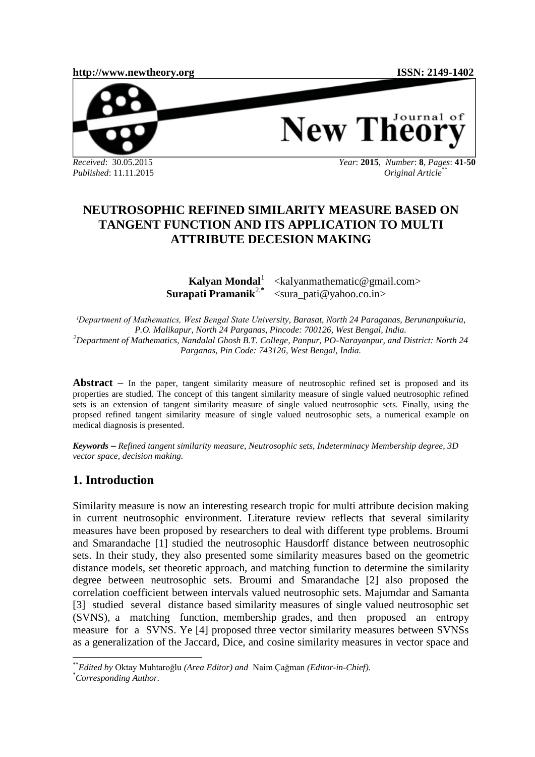**[http://www.newtheory.org](http://www.newtheory.org/) ISSN: 2149-1402**



Journal of New The

> *Year*: **2015**, *Number*: **8**, *Pages*: **41**-**50**  *Original Article*\*\*

## **NEUTROSOPHIC REFINED SIMILARITY MEASURE BASED ON TANGENT FUNCTION AND ITS APPLICATION TO MULTI ATTRIBUTE DECESION MAKING**

**Kalyan Mondal**<sup>1</sup> **Surapati Pramanik**2,**\***  $\langle$ kalyanmathematic@gmail.com>  $\langle$ sura\_pati@yahoo.co.in>

<sup>1</sup>Department of Mathematics, West Bengal State University, Barasat, North 24 Paraganas, Berunanpukuria, *P.O. Malikapur, North 24 Parganas, Pincode: 700126, West Bengal, India. <sup>2</sup>Department of Mathematics, Nandalal Ghosh B.T. College, Panpur, PO-Narayanpur, and District: North 24 Parganas, Pin Code: 743126, West Bengal, India.*

**Abstract** – In the paper, tangent similarity measure of neutrosophic refined set is proposed and its properties are studied. The concept of this tangent similarity measure of single valued neutrosophic refined sets is an extension of tangent similarity measure of single valued neutrosophic sets. Finally, using the propsed refined tangent similarity measure of single valued neutrosophic sets, a numerical example on medical diagnosis is presented.

*Keywords* – *Refined tangent similarity measure, Neutrosophic sets, Indeterminacy Membership degree, 3D vector space, decision making.*

## **1. Introduction**

Similarity measure is now an interesting research tropic for multi attribute decision making in current neutrosophic environment. Literature review reflects that several similarity measures have been proposed by researchers to deal with different type problems. Broumi and Smarandache [1] studied the neutrosophic Hausdorff distance between neutrosophic sets. In their study, they also presented some similarity measures based on the geometric distance models, set theoretic approach, and matching function to determine the similarity degree between neutrosophic sets. Broumi and Smarandache [2] also proposed the correlation coefficient between intervals valued neutrosophic sets. Majumdar and Samanta [3] studied several distance based similarity measures of single valued neutrosophic set (SVNS), a matching function, membership grades, and then proposed an entropy measure for a SVNS. Ye [4] proposed three vector similarity measures between SVNSs as a generalization of the Jaccard, Dice, and cosine similarity measures in vector space and

\*\**Edited by* Oktay Muhtaroğlu *(Area Editor) and* Naim Çağman *(Editor-in-Chief).*

1

<sup>\*</sup>*Corresponding Author.*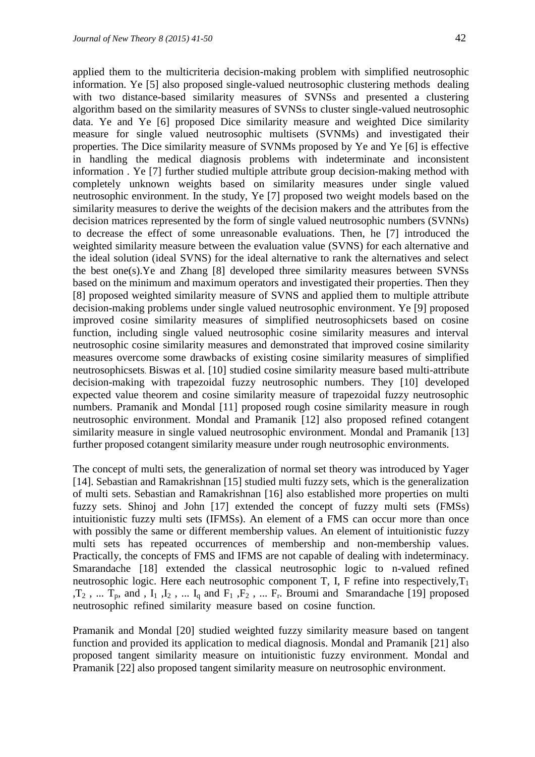applied them to the multicriteria decision-making problem with simplified neutrosophic information. Ye [5] also proposed single-valued neutrosophic clustering methods dealing with two distance-based similarity measures of SVNSs and presented a clustering algorithm based on the similarity measures of SVNSs to cluster single-valued neutrosophic data. Ye and Ye [6] proposed Dice similarity measure and weighted Dice similarity measure for single valued neutrosophic multisets (SVNMs) and investigated their properties. The Dice similarity measure of SVNMs proposed by Ye and Ye [6] is effective in handling the medical diagnosis problems with indeterminate and inconsistent information . Ye [7] further studied multiple attribute group decision-making method with completely unknown weights based on similarity measures under single valued neutrosophic environment. In the study, Ye [7] proposed two weight models based on the similarity measures to derive the weights of the decision makers and the attributes from the decision matrices represented by the form of single valued neutrosophic numbers (SVNNs) to decrease the effect of some unreasonable evaluations. Then, he [7] introduced the weighted similarity measure between the evaluation value (SVNS) for each alternative and the ideal solution (ideal SVNS) for the ideal alternative to rank the alternatives and select the best one(s).Ye and Zhang [8] developed three similarity measures between SVNSs based on the minimum and maximum operators and investigated their properties. Then they [8] proposed weighted similarity measure of SVNS and applied them to multiple attribute decision-making problems under single valued neutrosophic environment. Ye [9] proposed improved cosine similarity measures of simplified neutrosophicsets based on cosine function, including single valued neutrosophic cosine similarity measures and interval neutrosophic cosine similarity measures and demonstrated that improved cosine similarity measures overcome some drawbacks of existing cosine similarity measures of simplified neutrosophicsets. Biswas et al. [10] studied cosine similarity measure based multi-attribute decision-making with trapezoidal fuzzy neutrosophic numbers. They [10] developed expected value theorem and cosine similarity measure of trapezoidal fuzzy neutrosophic numbers. Pramanik and Mondal [11] proposed rough cosine similarity measure in rough neutrosophic environment. Mondal and Pramanik [12] also proposed refined cotangent similarity measure in single valued neutrosophic environment. Mondal and Pramanik [13] further proposed cotangent similarity measure under rough neutrosophic environments.

The concept of multi sets, the generalization of normal set theory was introduced by Yager [14]. Sebastian and Ramakrishnan [15] studied multi fuzzy sets, which is the generalization of multi sets. Sebastian and Ramakrishnan [16] also established more properties on multi fuzzy sets. Shinoj and John [17] extended the concept of fuzzy multi sets (FMSs) intuitionistic fuzzy multi sets (IFMSs). An element of a FMS can occur more than once with possibly the same or different membership values. An element of intuitionistic fuzzy multi sets has repeated occurrences of membership and non-membership values. Practically, the concepts of FMS and IFMS are not capable of dealing with indeterminacy. Smarandache [18] extended the classical neutrosophic logic to n-valued refined neutrosophic logic. Here each neutrosophic component T, I, F refine into respectively,  $T_1$  $,T_2$ , ...  $T_p$ , and ,  $I_1$ ,  $I_2$ , ...  $I_q$  and  $F_1$ ,  $F_2$ , ...  $F_r$ . Broumi and Smarandache [19] proposed neutrosophic refined similarity measure based on cosine function.

Pramanik and Mondal [20] studied weighted fuzzy similarity measure based on tangent function and provided its application to medical diagnosis. Mondal and Pramanik [21] also proposed tangent similarity measure on intuitionistic fuzzy environment. Mondal and Pramanik [22] also proposed tangent similarity measure on neutrosophic environment.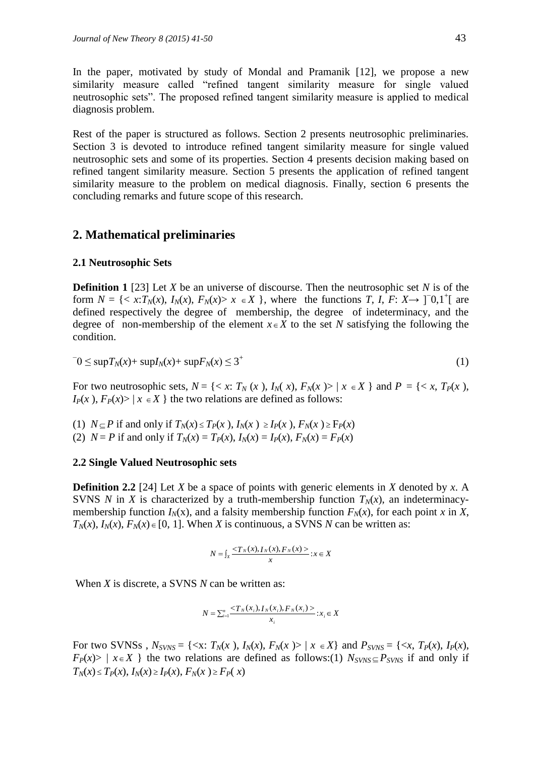In the paper, motivated by study of Mondal and Pramanik [12], we propose a new similarity measure called "refined tangent similarity measure for single valued neutrosophic sets". The proposed refined tangent similarity measure is applied to medical diagnosis problem.

Rest of the paper is structured as follows. Section 2 presents neutrosophic preliminaries. Section 3 is devoted to introduce refined tangent similarity measure for single valued neutrosophic sets and some of its properties. Section 4 presents decision making based on refined tangent similarity measure. Section 5 presents the application of refined tangent similarity measure to the problem on medical diagnosis. Finally, section 6 presents the concluding remarks and future scope of this research.

#### **2. Mathematical preliminaries**

#### **2.1 Neutrosophic Sets**

**Definition 1** [23] Let *X* be an universe of discourse. Then the neutrosophic set *N* is of the form  $N = \{ \langle x : T_N(x), I_N(x), F_N(x) \rangle \mid x \in X \}$ , where the functions *T*, *I*, *F*: *X* → ]<sup>-</sup>0,1<sup>+</sup>[ are defined respectively the degree of membership, the degree of indeterminacy, and the degree of non-membership of the element  $x \in X$  to the set *N* satisfying the following the condition.

$$
-0 \leq \sup T_N(x) + \sup I_N(x) + \sup F_N(x) \leq 3^+(1)
$$

For two neutrosophic sets,  $N = \{ \langle x : T_N(x), I_N(x), F_N(x) \rangle | x \in X \}$  and  $P = \{ \langle x, T_P(x),$  $I_P(x)$ ,  $F_P(x)$   $\mid$   $x \in X$  } the two relations are defined as follows:

(1)  $N \subseteq P$  if and only if  $T_N(x) \le T_P(x)$ ,  $I_N(x) \ge I_P(x)$ ,  $F_N(x) \ge F_P(x)$ (2)  $N = P$  if and only if  $T_N(x) = T_P(x)$ ,  $I_N(x) = I_P(x)$ ,  $F_N(x) = F_P(x)$ 

#### **2.2 Single Valued Neutrosophic sets**

**Definition 2.2** [24] Let *X* be a space of points with generic elements in *X* denoted by *x*. A SVNS *N* in *X* is characterized by a truth-membership function  $T_N(x)$ , an indeterminacymembership function  $I_N(x)$ , and a falsity membership function  $F_N(x)$ , for each point *x* in *X*,  $T_N(x)$ ,  $I_N(x)$ ,  $F_N(x) \in [0, 1]$ . When *X* is continuous, a SVNS *N* can be written as:

$$
N = \int_X \frac{}{x} ; x \in X
$$

When *X* is discrete, a SVNS *N* can be written as:

$$
N = \sum_{i=1}^{n} \frac{\langle T_N(x_i), I_N(x_i), F_N(x_i) \rangle}{x_i} : x_i \in X
$$

For two SVNSs,  $N_{SVNS} = \{ \langle x : T_N(x), I_N(x), F_N(x) \rangle \mid x \in X \}$  and  $P_{SVNS} = \{ \langle x, T_P(x), I_P(x), F_N(x) \rangle \}$  $F_P(x) > |x \in X$  } the two relations are defined as follows:(1)  $N_{S V N S} \subseteq P_{S V N S}$  if and only if  $T_N(x) \le T_P(x)$ ,  $I_N(x) \ge I_P(x)$ ,  $F_N(x) \ge F_P(x)$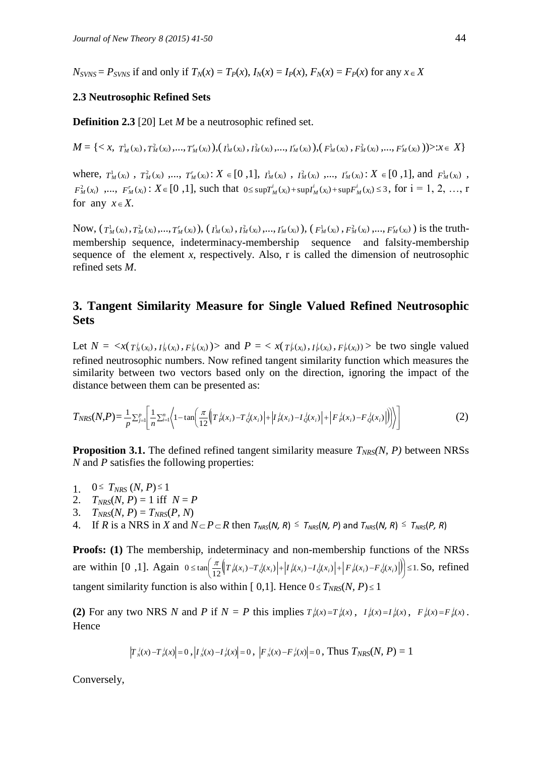$N_{SVNS} = P_{SVNS}$  if and only if  $T_N(x) = T_P(x)$ ,  $I_N(x) = I_P(x)$ ,  $F_N(x) = F_P(x)$  for any  $x \in X$ 

#### **2.3 Neutrosophic Refined Sets**

**Definition 2.3** [20] Let *M* be a neutrosophic refined set.

 $M = \{<\mathbf{x}, \; \; T^1_M(\mathbf{x}_i), T^2_M(\mathbf{x}_i), ..., T^r_M(\mathbf{x}_i)), (I^1_M(\mathbf{x}_i), I^2_M(\mathbf{x}_i), ..., I^r_M(\mathbf{x}_i)), (F^1_M(\mathbf{x}_i), F^2_M(\mathbf{x}_i), ..., F^r_M(\mathbf{x}_i)))\times \mathbf{x} \in X\}$ 

where,  $T_M^1(x_i)$ ,  $T_M^2(x_i)$ ,...,  $T_M^r(x_i)$ :  $X \in [0,1]$ ,  $I_M^1(x_i)$ ,  $I_M^2(x_i)$ ,...,  $I_M^r(x_i)$ :  $X \in [0,1]$ , and  $F_M^1(x_i)$ ,  $F_M^2(x_i)$ , ...,  $F_M^r(x_i)$ :  $X \in [0,1]$ , such that  $0 \leq \sup T_M^i(x_i) + \sup T_M^i(x_i) + \sup F_M^i(x_i) \leq 3$ , for  $i = 1, 2, ..., r$ for any  $x \in X$ .

Now,  $(T_M^1(x_i), T_M^2(x_i),..., T_M^r(x_i)), (T_M^1(x_i), T_M^2(x_i),..., T_M^r(x_i)), (F_M^1(x_i), F_M^2(x_i),..., F_M^r(x_i))$  is the truthmembership sequence, indeterminacy-membership sequence and falsity-membership sequence of the element *x*, respectively. Also, r is called the dimension of neutrosophic refined sets *M*.

## **3. Tangent Similarity Measure for Single Valued Refined Neutrosophic Sets**

Let  $N = \langle x(\tau_N^j(x_i), \tau_N^j(x_i), F_N^j(x_i)) \rangle$  and  $P = \langle x(\tau_N^j(x_i), \tau_N^j(x_i), F_N^j(x_i)) \rangle$  be two single valued refined neutrosophic numbers. Now refined tangent similarity function which measures the similarity between two vectors based only on the direction, ignoring the impact of the distance between them can be presented as:

$$
T_{NRS}(N,P) = \frac{1}{p} \sum_{j=1}^{p} \left[ \frac{1}{n} \sum_{i=1}^{n} \left\langle 1 - \tan\left(\frac{\pi}{12} \left( T \dot{J}(x_i) - T \dot{J}(x_i) \right) + \left| T \dot{J}(x_i) - T \dot{J}(x_i) \right| + \left| F \dot{J}(x_i) - F \dot{J}(x_i) \right| \right) \right\rangle \right]
$$
(2)

**Proposition 3.1.** The defined refined tangent similarity measure  $T_{NRS}(N, P)$  between NRSs *N* and *P* satisfies the following properties:

- 1.  $0 \le T_{NRS} (N, P) \le 1$
- 2.  $T_{NRS}(N, P) = 1$  iff  $N = P$
- 3.  $T_{NRS}(N, P) = T_{NRS}(P, N)$
- 4. If *R* is a NRS in *X* and  $N \subset P \subset R$  then  $T_{NRS}(N, R) \leq T_{NRS}(N, P)$  and  $T_{NRS}(N, R) \leq T_{NRS}(P, R)$

**Proofs: (1)** The membership, indeterminacy and non-membership functions of the NRSs are within [0,1]. Again  $0 \leq \tan \left( \frac{\pi}{4} \left( \frac{\pi}{2} |T_{i}(x_i) - T_{i}(x_i)| + |T_{i}(x_i) - T_{i}(x_i)| + |F_{i}(x_i) - F_{i}(x_i)| \right) \right) \leq 1.$  $\frac{\pi}{12}$  $0 \leq \tan \left( \frac{\pi}{12} \left| T \dot{p}(x_i) - T \dot{q}(x_i) \right| + \left| T \dot{p}(x_i) - T \dot{q}(x_i) \right| + \left| F \dot{p}(x_i) - F \dot{q}(x_i) \right| \right) \right| \leq$  $\left(\frac{\pi}{12}\left(T_{p}^{j}(x_{i})-T_{Q}^{j}(x_{i})\right)+\left|I_{p}^{j}(x_{i})-I_{Q}^{j}(x_{i})\right|+\left|F_{p}^{j}(x_{i})-F_{Q}^{j}(x_{i})\right|\right)$  $\leq \tan \left( \frac{\pi}{12} \left( \frac{\pi}{2} \left( x_i \right) - \frac{\pi}{2} \left( x_i \right) \right) + \left| \frac{\pi}{2} \left( x_i \right) - \frac{\pi}{2} \left( x_i \right) \right| + \left| \frac{\pi}{2} \left( x_i \right) - \frac{\pi}{2} \left( x_i \right) \right| \right) \leq 1$ . So, refined tangent similarity function is also within [0,1]. Hence  $0 \le T_{NRS}(N, P) \le 1$ 

(2) For any two NRS N and P if  $N = P$  this implies  $T_p^j(x) = T_p^j(x)$ ,  $I_p^j(x) = I_p^j(x)$ ,  $F_p^j(x) = F_p^j(x)$ . Hence

$$
|T_{N}^{j}(x)-T_{N}^{j}(x)|=0
$$
,  $|I_{N}^{j}(x)-I_{N}^{j}(x)|=0$ ,  $|F_{N}^{j}(x)-F_{N}^{j}(x)|=0$ , Thus  $T_{NRS}(N, P) = 1$ 

Conversely,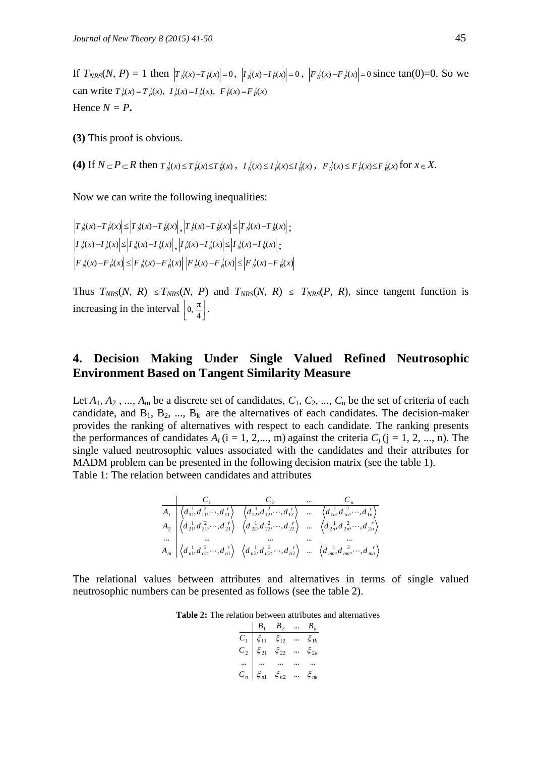If  $T_{NRS}(N, P) = 1$  then  $|T_N^j(x) - T_N^j(x)| = 0$ ,  $|T_N^j(x) - T_N^j(x)| = 0$ ,  $|F_N^j(x) - F_N^j(x)| = 0$  since  $tan(0) = 0$ . So we can write  $T_p^j(x) = T_p^j(x)$ ,  $I_p^j(x) = I_p^j(x)$ ,  $F_p^j(x) = F_p^j(x)$ Hence  $N = P$ .

**(3)** This proof is obvious.

(4) If  $N \subset P \subset R$  then  $T_N^j(x) \le T_N^j(x) \le T_N^j(x)$ ,  $T_N^j(x) \le T_N^j(x) \le T_N^j(x)$ ,  $F_N^j(x) \le F_N^j(x) \le F_N^j(x)$  for  $x \in X$ .

Now we can write the following inequalities:

$$
\left|T_{N}^{j}(x)-T_{N}^{j}(x)\right| \leq \left|T_{N}^{j}(x)-T_{R}^{j}(x)\right|, \left|T_{P}^{j}(x)-T_{R}^{j}(x)\right| \leq \left|T_{N}^{j}(x)-T_{R}^{j}(x)\right|;
$$
\n
$$
\left|T_{N}^{j}(x)-T_{P}^{j}(x)\right| \leq \left|T_{N}^{j}(x)-T_{R}^{j}(x)\right|, \left|T_{P}^{j}(x)-T_{R}^{j}(x)\right| \leq \left|T_{N}^{j}(x)-T_{R}^{j}(x)\right|;
$$
\n
$$
\left|F_{N}^{j}(x)-F_{P}^{j}(x)\right| \leq \left|F_{N}^{j}(x)-F_{R}^{j}(x)\right|, \left|F_{P}^{j}(x)-F_{R}^{j}(x)\right| \leq \left|F_{N}^{j}(x)-F_{R}^{j}(x)\right|.
$$

Thus  $T_{NRS}(N, R) \leq T_{NRS}(N, P)$  and  $T_{NRS}(N, R) \leq T_{NRS}(P, R)$ , since tangent function is increasing in the interval  $\left[0, \frac{\pi}{4}\right]$  $\overline{\phantom{a}}$  $\overline{\mathsf{L}}$  $\vert \wedge \pi$  $\left[0, \frac{\pi}{4}\right]$ .

## **4. Decision Making Under Single Valued Refined Neutrosophic Environment Based on Tangent Similarity Measure**

Let  $A_1, A_2, ..., A_m$  be a discrete set of candidates,  $C_1, C_2, ..., C_n$  be the set of criteria of each candidate, and  $B_1$ ,  $B_2$ , ...,  $B_k$  are the alternatives of each candidates. The decision-maker provides the ranking of alternatives with respect to each candidate. The ranking presents the performances of candidates  $A_i$  (i = 1, 2,..., m) against the criteria  $C_i$  (j = 1, 2, ..., n). The single valued neutrosophic values associated with the candidates and their attributes for MADM problem can be presented in the following decision matrix (see the table 1). Table 1: The relation between candidates and attributes

$$
A_{1} \begin{array}{c} C_{1} & C_{2} & \dots & C_{n} \\ \hline A_{1} \begin{array}{c} \left\langle d_{11}^{-1}, d_{11}^{-2}, \dots, d_{11}^{-1} \right\rangle & \left\langle d_{12}^{-1}, d_{12}^{-2}, \dots, d_{12}^{-1} \right\rangle & \dots & \left\langle d_{1n}^{-1}, d_{1n}^{-2}, \dots, d_{1n}^{-1} \right\rangle \\ A_{2} \begin{array}{c} \left\langle d_{21}^{-1}, d_{21}^{-2}, \dots, d_{21}^{-1} \right\rangle & \left\langle d_{22}^{-1}, d_{22}^{-2}, \dots, d_{22}^{-1} \right\rangle & \dots & \left\langle d_{2n}^{-1}, d_{2n}^{-2}, \dots, d_{2n}^{-1} \right\rangle \\ \dots & \dots & \dots & \dots \\ A_{m} \end{array} \end{array}
$$
  
\n
$$
A_{m} \begin{array}{c} \left\langle d_{n1}^{-1}, d_{n1}^{-2}, \dots, d_{n1}^{-1} \right\rangle & \left\langle d_{n2}^{-1}, d_{n2}^{-2}, \dots, d_{n2}^{-1} \right\rangle & \dots & \left\langle d_{nm}^{-1}, d_{nm}^{-2}, \dots, d_{nm}^{-1} \right\rangle \\ \end{array}
$$

The relational values between attributes and alternatives in terms of single valued neutrosophic numbers can be presented as follows (see the table 2).

**Table 2:** The relation between attributes and alternatives

|       | $B_{1}$ | $B_{2}$                           | $\cdots$ | $B_k$      |
|-------|---------|-----------------------------------|----------|------------|
|       |         | $C_1$ $\xi_{11}$ $\xi_{12}$       |          | $\xi_{1k}$ |
| $C_2$ |         | $\xi_{21}$ $\xi_{22}$             |          | $\xi_{2k}$ |
|       |         |                                   |          |            |
| $C_n$ |         | $\left \xi_{n1} \right  \xi_{n2}$ | $\cdots$ |            |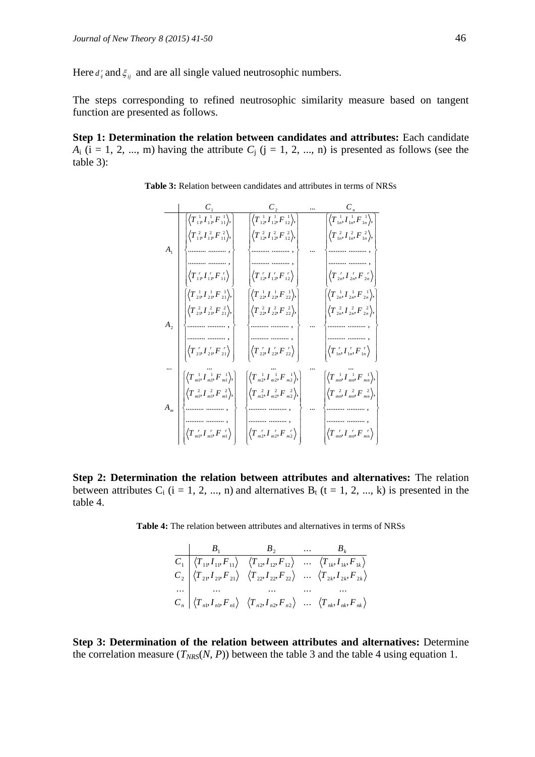Here  $d_i$  and  $\xi_{ij}$  and are all single valued neutrosophic numbers.

The steps corresponding to refined neutrosophic similarity measure based on tangent function are presented as follows.

**Step 1: Determination the relation between candidates and attributes:** Each candidate  $A_i$  (i = 1, 2, ..., m) having the attribute  $C_i$  (j = 1, 2, ..., n) is presented as follows (see the table 3):

|                    | $\left\langle T^{-1}_{11}, T^{-1}_{11}, F^{-1}_{11} \right\rangle,$                                                                                                                     | $\left \left\langle T^{-1}_{12} {J}^{-1}_{12} {F}^{-1}_{12} \right\rangle_{\!\!\circ} \right $                           | $\left \left\langle T^{-1}_{1n}, {I}^{-1}_{1n}, {F}^{-1}_{1n}\right\rangle_{n}\right $                                                                                          |
|--------------------|-----------------------------------------------------------------------------------------------------------------------------------------------------------------------------------------|--------------------------------------------------------------------------------------------------------------------------|---------------------------------------------------------------------------------------------------------------------------------------------------------------------------------|
|                    | $\left\langle T^{-2}_{11}, T^{\; 2}_{11}, F^{\; 2}_{11} \right\rangle,$                                                                                                                 | $\langle T^{\,2}_{12}, I^{\,2}_{12}, F^{\,2}_{12} \rangle,$                                                              | $\langle T^{\,2}_{1n},\Gamma^{\,2}_{1n},\overline{F^{\,2}_{1n}}\rangle,$                                                                                                        |
| A <sub>1</sub>     |                                                                                                                                                                                         |                                                                                                                          |                                                                                                                                                                                 |
|                    | $\left\langle T_{11}^{\;\,r} , I_{11}^{\;\,r} , F_{11}^{\;\,r} \right\rangle$                                                                                                           | $\left\langle T_{12}^{\;\;r} , L_{12}^{\;\;r} , F_{12}^{\;\;r} \right\rangle$                                            | $\left \left\langle T\right._{2n}^{\;\;r},I\right._{2n}^{\;\;r},F\left._{2n}^{\;\;r}\right\rangle$                                                                              |
|                    | $\left\langle T^{-1}_{21}, I^{-1}_{21}, F^{-1}_{21} \right\rangle,$                                                                                                                     | $\left \left\langle T^{-1}_{22}, {I}^{-1}_{22}, {F}^{-1}_{22} \right\rangle_{\!\!\circ}\right $                          | $\left \left\langle T\frac{1}{2n},\frac{1}{2n},F\frac{1}{2n}\right\rangle ,\right.$                                                                                             |
|                    | $\left\langle T\frac{2}{21},\frac{1}{21},\frac{2}{21},\frac{2}{21}\right\rangle,$                                                                                                       | $\left\langle T\frac{2}{22}, \frac{1}{22}, \frac{2}{22}, \frac{2}{22} \right\rangle,$                                    | $\langle T_{2n}^2, L_{2n}^2, F_{2n}^2 \rangle,$                                                                                                                                 |
| $A_{2}$            |                                                                                                                                                                                         |                                                                                                                          |                                                                                                                                                                                 |
|                    | $\left\langle T_{\text{2P}}^{\;\;r}I_{\text{2P}}^{\;\;r}F_{\text{21}}^{\;\;r}\right\rangle$                                                                                             | $\left \left\langle T\right.^{\;\;r}_{22},I\right.^{\;\;r}_{22},F\left.^{\;\;r}_{22}\right\rangle \right $               | $\left \left\langle T\right.^{\;\,r}_{\text{\tiny 1n}},\overline{I}\left.^{\;\,r}_{\text{\tiny 1n}},\overline{F}\left.^{\;\,r}_{\text{\tiny 1n}}\right. \right\rangle \right $  |
|                    | $\left \left\langle T^{-1}_{\phantom{1}m1},\overline{I}^{-1}_{\phantom{1}m1},\overline{F}^{-1}_{\phantom{1}m1}\right\rangle _{\!\!\!},\right $                                          | $\left \left\langle T^{-1}_{m2}, {I^{-1}_{m2}}, F^{-1}_{m2}\right\rangle\right $                                         | $\left \left\langle T\textstyle{\frac{1}{mn}}\textstyle\int\textstyle{I}\textstyle{\frac{1}{mn}}\textstyle\int\textstyle{F}^{-1}\textstyle{\frac{1}{mn}}\right\rangle, \right $ |
|                    | $\left\langle T\,{}^{\,2}_{m1},\, I\,{}^{\,2}_{m1},\, F\,{}^{\,2}_{m1}\right\rangle, \left. \right $                                                                                    | $\left\langle T_{m2}^{2}, I_{m2}^{2}, F_{m2}^{2}\right\rangle,$                                                          | $\langle T\frac{2}{mn}, I\frac{2}{mn}, F\frac{2}{mn}\rangle,$                                                                                                                   |
| $\boldsymbol{A}_m$ |                                                                                                                                                                                         |                                                                                                                          |                                                                                                                                                                                 |
|                    |                                                                                                                                                                                         |                                                                                                                          |                                                                                                                                                                                 |
|                    | $\left\langle T_{\scriptscriptstyle{m1}}^{\scriptscriptstyle{r}}, I_{\scriptscriptstyle{m1}}^{\scriptscriptstyle{r}}, F_{\scriptscriptstyle{m1}}^{\scriptscriptstyle{r}} \right\rangle$ | $\left \left\langle T\text{ }_{m2}^{~~r},\text{ }I\text{ }_{m2}^{~~r},\text{ }F\text{ }_{m2}^{~~r}\right\rangle \right $ | $\left\langle T\text{\tiny{mn}}_{\text{\tiny{mn}}}, I\text{\tiny{mn}}_{\text{\tiny{mn}}}, F\text{\tiny{mn}}_{\text{\tiny{mn}}} \right\rangle$                                   |

**Table 3:** Relation between candidates and attributes in terms of NRSs

**Step 2: Determination the relation between attributes and alternatives:** The relation between attributes  $C_i$  (i = 1, 2, ..., n) and alternatives  $B_t$  (t = 1, 2, ..., k) is presented in the table 4.

**Table 4:** The relation between attributes and alternatives in terms of NRSs

|  | $B_1$ $B_2$ $\ldots$ $B_k$                                                                                                                                                                                                                                                                                                                                                            |  |
|--|---------------------------------------------------------------------------------------------------------------------------------------------------------------------------------------------------------------------------------------------------------------------------------------------------------------------------------------------------------------------------------------|--|
|  |                                                                                                                                                                                                                                                                                                                                                                                       |  |
|  | $\begin{array}{ccc} C_1 & \left\langle T_{11}, I_{11}, F_{11} \right\rangle & \left\langle T_{12}, I_{12}, F_{12} \right\rangle & \ldots & \left\langle T_{1k}, I_{1k}, F_{1k} \right\rangle \\ C_2 & \left\langle T_{21}, I_{21}, F_{21} \right\rangle & \left\langle T_{22}, I_{22}, F_{22} \right\rangle & \ldots & \left\langle T_{2k}, I_{2k}, F_{2k} \right\rangle \end{array}$ |  |
|  |                                                                                                                                                                                                                                                                                                                                                                                       |  |
|  | $\begin{array}{c c c c c c c c} \cdots & \cdots & \cdots & \cdots \\ \hline C_n & \langle T_{n!}, I_{n!}, F_{n!} \rangle & \langle T_{n2}, I_{n2}, F_{n2} \rangle & \cdots & \langle T_{nk}, I_{nk}, F_{nk} \rangle \end{array}$                                                                                                                                                      |  |

**Step 3: Determination of the relation between attributes and alternatives:** Determine the correlation measure  $(T_{NRS}(N, P))$  between the table 3 and the table 4 using equation 1.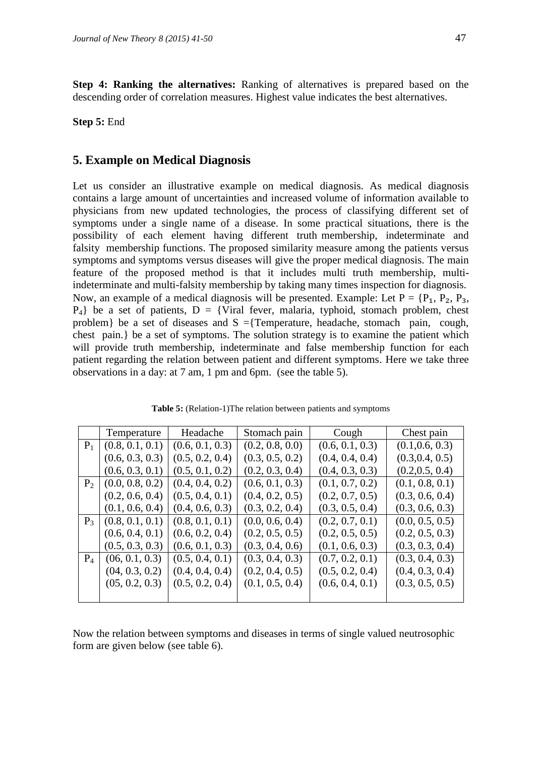**Step 4: Ranking the alternatives:** Ranking of alternatives is prepared based on the descending order of correlation measures. Highest value indicates the best alternatives.

# **Step 5:** End

#### **5. Example on Medical Diagnosis**

Let us consider an illustrative example on medical diagnosis. As medical diagnosis contains a large amount of uncertainties and increased volume of information available to physicians from new updated technologies, the process of classifying different set of symptoms under a single name of a disease. In some practical situations, there is the possibility of each element having different truth membership, indeterminate and falsity membership functions. The proposed similarity measure among the patients versus symptoms and symptoms versus diseases will give the proper medical diagnosis. The main feature of the proposed method is that it includes multi truth membership, multiindeterminate and multi-falsity membership by taking many times inspection for diagnosis. Now, an example of a medical diagnosis will be presented. Example: Let  $P = \{P_1, P_2, P_3, \ldots\}$  $P_4$ } be a set of patients,  $D = \{V \text{iral fever}, \text{malaria}, \text{tvphoid}, \text{stomach problem}, \text{check}$ problem} be a set of diseases and  $S = \{T$ emperature, headache, stomach pain, cough, chest pain.} be a set of symptoms. The solution strategy is to examine the patient which will provide truth membership, indeterminate and false membership function for each patient regarding the relation between patient and different symptoms. Here we take three observations in a day: at 7 am, 1 pm and 6pm. (see the table 5).

|                | Temperature     | Headache        | Stomach pain    | Cough           | Chest pain      |
|----------------|-----------------|-----------------|-----------------|-----------------|-----------------|
| $P_1$          | (0.8, 0.1, 0.1) | (0.6, 0.1, 0.3) | (0.2, 0.8, 0.0) | (0.6, 0.1, 0.3) | (0.1, 0.6, 0.3) |
|                | (0.6, 0.3, 0.3) | (0.5, 0.2, 0.4) | (0.3, 0.5, 0.2) | (0.4, 0.4, 0.4) | (0.3, 0.4, 0.5) |
|                | (0.6, 0.3, 0.1) | (0.5, 0.1, 0.2) | (0.2, 0.3, 0.4) | (0.4, 0.3, 0.3) | (0.2, 0.5, 0.4) |
| P <sub>2</sub> | (0.0, 0.8, 0.2) | (0.4, 0.4, 0.2) | (0.6, 0.1, 0.3) | (0.1, 0.7, 0.2) | (0.1, 0.8, 0.1) |
|                | (0.2, 0.6, 0.4) | (0.5, 0.4, 0.1) | (0.4, 0.2, 0.5) | (0.2, 0.7, 0.5) | (0.3, 0.6, 0.4) |
|                | (0.1, 0.6, 0.4) | (0.4, 0.6, 0.3) | (0.3, 0.2, 0.4) | (0.3, 0.5, 0.4) | (0.3, 0.6, 0.3) |
| $P_{3}$        | (0.8, 0.1, 0.1) | (0.8, 0.1, 0.1) | (0.0, 0.6, 0.4) | (0.2, 0.7, 0.1) | (0.0, 0.5, 0.5) |
|                | (0.6, 0.4, 0.1) | (0.6, 0.2, 0.4) | (0.2, 0.5, 0.5) | (0.2, 0.5, 0.5) | (0.2, 0.5, 0.3) |
|                | (0.5, 0.3, 0.3) | (0.6, 0.1, 0.3) | (0.3, 0.4, 0.6) | (0.1, 0.6, 0.3) | (0.3, 0.3, 0.4) |
| $P_4$          | (06, 0.1, 0.3)  | (0.5, 0.4, 0.1) | (0.3, 0.4, 0.3) | (0.7, 0.2, 0.1) | (0.3, 0.4, 0.3) |
|                | (04, 0.3, 0.2)  | (0.4, 0.4, 0.4) | (0.2, 0.4, 0.5) | (0.5, 0.2, 0.4) | (0.4, 0.3, 0.4) |
|                | (05, 0.2, 0.3)  | (0.5, 0.2, 0.4) | (0.1, 0.5, 0.4) | (0.6, 0.4, 0.1) | (0.3, 0.5, 0.5) |
|                |                 |                 |                 |                 |                 |

|  | Table 5: (Relation-1)The relation between patients and symptoms |  |  |
|--|-----------------------------------------------------------------|--|--|
|  |                                                                 |  |  |

Now the relation between symptoms and diseases in terms of single valued neutrosophic form are given below (see table 6).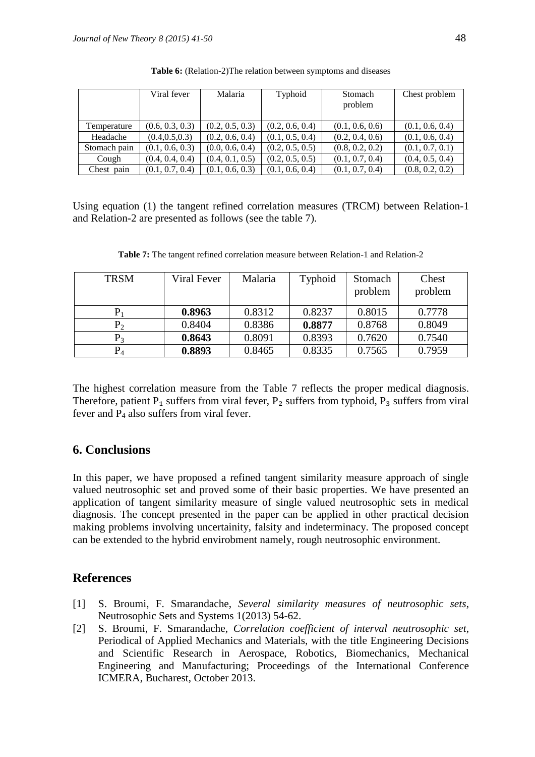|              | Viral fever     | Malaria         | Typhoid         | Stomach<br>problem | Chest problem   |
|--------------|-----------------|-----------------|-----------------|--------------------|-----------------|
| Temperature  | (0.6, 0.3, 0.3) | (0.2, 0.5, 0.3) | (0.2, 0.6, 0.4) | (0.1, 0.6, 0.6)    | (0.1, 0.6, 0.4) |
| Headache     | (0.4, 0.5, 0.3) | (0.2, 0.6, 0.4) | (0.1, 0.5, 0.4) | (0.2, 0.4, 0.6)    | (0.1, 0.6, 0.4) |
| Stomach pain | (0.1, 0.6, 0.3) | (0.0, 0.6, 0.4) | (0.2, 0.5, 0.5) | (0.8, 0.2, 0.2)    | (0.1, 0.7, 0.1) |
| Cough        | (0.4, 0.4, 0.4) | (0.4, 0.1, 0.5) | (0.2, 0.5, 0.5) | (0.1, 0.7, 0.4)    | (0.4, 0.5, 0.4) |
| Chest pain   | (0.1, 0.7, 0.4) | (0.1, 0.6, 0.3) | (0.1, 0.6, 0.4) | (0.1, 0.7, 0.4)    | (0.8, 0.2, 0.2) |

|  |  |  | Table 6: (Relation-2) The relation between symptoms and diseases |  |  |  |
|--|--|--|------------------------------------------------------------------|--|--|--|
|--|--|--|------------------------------------------------------------------|--|--|--|

Using equation (1) the tangent refined correlation measures (TRCM) between Relation-1 and Relation-2 are presented as follows (see the table 7).

| <b>TRSM</b> | Viral Fever | Malaria | Typhoid | Stomach<br>problem | Chest<br>problem |
|-------------|-------------|---------|---------|--------------------|------------------|
| $P_1$       | 0.8963      | 0.8312  | 0.8237  | 0.8015             | 0.7778           |
| $P_2$       | 0.8404      | 0.8386  | 0.8877  | 0.8768             | 0.8049           |
| $P_3$       | 0.8643      | 0.8091  | 0.8393  | 0.7620             | 0.7540           |
| $P_4$       | 0.8893      | 0.8465  | 0.8335  | 0.7565             | 0.7959           |

**Table 7:** The tangent refined correlation measure between Relation-1 and Relation-2

The highest correlation measure from the Table 7 reflects the proper medical diagnosis. Therefore, patient  $P_1$  suffers from viral fever,  $P_2$  suffers from typhoid,  $P_3$  suffers from viral fever and  $P_4$  also suffers from viral fever.

### **6. Conclusions**

In this paper, we have proposed a refined tangent similarity measure approach of single valued neutrosophic set and proved some of their basic properties. We have presented an application of tangent similarity measure of single valued neutrosophic sets in medical diagnosis. The concept presented in the paper can be applied in other practical decision making problems involving uncertainity, falsity and indeterminacy. The proposed concept can be extended to the hybrid envirobment namely, rough neutrosophic environment.

### **References**

- [1] S. Broumi, F. Smarandache, *Several similarity measures of neutrosophic sets*, Neutrosophic Sets and Systems 1(2013) 54-62.
- [2] S. Broumi, F. Smarandache, *Correlation coefficient of interval neutrosophic set*, Periodical of Applied Mechanics and Materials, with the title Engineering Decisions and Scientific Research in Aerospace, Robotics, Biomechanics, Mechanical Engineering and Manufacturing; Proceedings of the International Conference ICMERA, Bucharest, October 2013.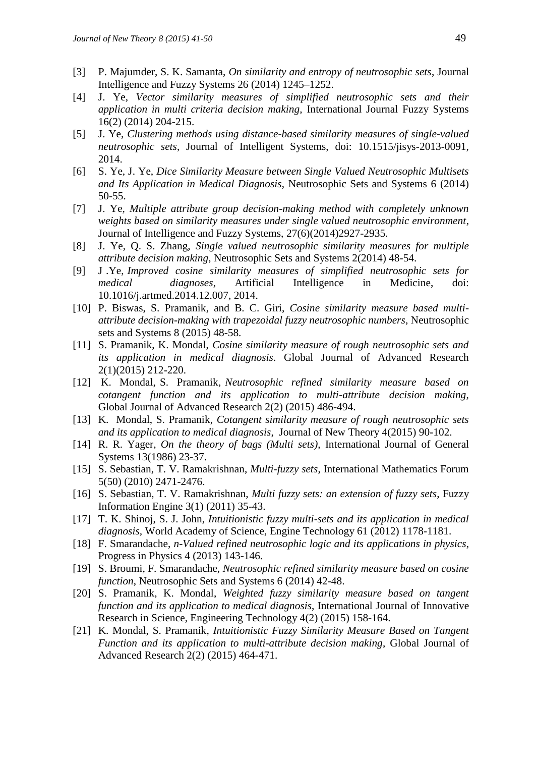- [3] P. Majumder, S. K. Samanta, *On similarity and entropy of neutrosophic sets*, Journal Intelligence and Fuzzy Systems 26 (2014) 1245–1252.
- [4] J. Ye, *Vector similarity measures of simplified neutrosophic sets and their application in multi criteria decision making*, International Journal Fuzzy Systems 16(2) (2014) 204-215.
- [5] J. Ye, *Clustering methods using distance-based similarity measures of single-valued neutrosophic sets*, Journal of Intelligent Systems, doi: 10.1515/jisys-2013-0091, 2014.
- [6] S. Ye, J. Ye, *Dice Similarity Measure between Single Valued Neutrosophic Multisets and Its Application in Medical Diagnosis*, Neutrosophic Sets and Systems 6 (2014) 50-55.
- [7] J. Ye, *Multiple attribute group decision-making method with completely unknown weights based on similarity measures under single valued neutrosophic environment*, Journal of Intelligence and Fuzzy Systems, 27(6)(2014)2927-2935.
- [8] J. Ye, Q. S. Zhang, *Single valued neutrosophic similarity measures for multiple attribute decision making*, Neutrosophic Sets and Systems 2(2014) 48-54.
- [9] J .Ye, *Improved cosine similarity measures of simplified neutrosophic sets for medical diagnoses*, Artificial Intelligence in Medicine, doi: 10.1016/j.artmed.2014.12.007, 2014.
- [10] P. Biswas, S. Pramanik, and B. C. Giri, *Cosine similarity measure based multiattribute decision-making with trapezoidal fuzzy neutrosophic numbers*, Neutrosophic sets and Systems 8 (2015) 48-58.
- [11] S. Pramanik, K. Mondal, *Cosine similarity measure of rough neutrosophic sets and its application in medical diagnosis*. Global Journal of Advanced Research 2(1)(2015) 212-220.
- [12] K. Mondal, S. Pramanik, *Neutrosophic refined similarity measure based on cotangent function and its application to multi-attribute decision making*, Global Journal of Advanced Research 2(2) (2015) 486-494.
- [13] K. Mondal, S. Pramanik, *Cotangent similarity measure of rough neutrosophic sets and its application to medical diagnosis*, Journal of New Theory 4(2015) 90-102.
- [14] R. R. Yager, *On the theory of bags (Multi sets)*, International Journal of General Systems 13(1986) 23-37.
- [15] S. Sebastian, T. V. Ramakrishnan, *Multi-fuzzy sets*, International Mathematics Forum 5(50) (2010) 2471-2476.
- [16] S. Sebastian, T. V. Ramakrishnan, *Multi fuzzy sets: an extension of fuzzy sets*, Fuzzy Information Engine 3(1) (2011) 35-43.
- [17] T. K. Shinoj, S. J. John, *Intuitionistic fuzzy multi-sets and its application in medical diagnosis,* World Academy of Science, Engine Technology 61 (2012) 1178-1181.
- [18] F. Smarandache, *n-Valued refined neutrosophic logic and its applications in physics*, Progress in Physics 4 (2013) 143-146.
- [19] S. Broumi, F. Smarandache, *Neutrosophic refined similarity measure based on cosine function*, Neutrosophic Sets and Systems 6 (2014) 42-48.
- [20] S. Pramanik, K. Mondal, *Weighted fuzzy similarity measure based on tangent function and its application to medical diagnosis*, International Journal of Innovative Research in Science, Engineering Technology 4(2) (2015) 158-164.
- [21] K. Mondal, S. Pramanik, *Intuitionistic Fuzzy Similarity Measure Based on Tangent Function and its application to multi-attribute decision making*, Global Journal of Advanced Research 2(2) (2015) 464-471.